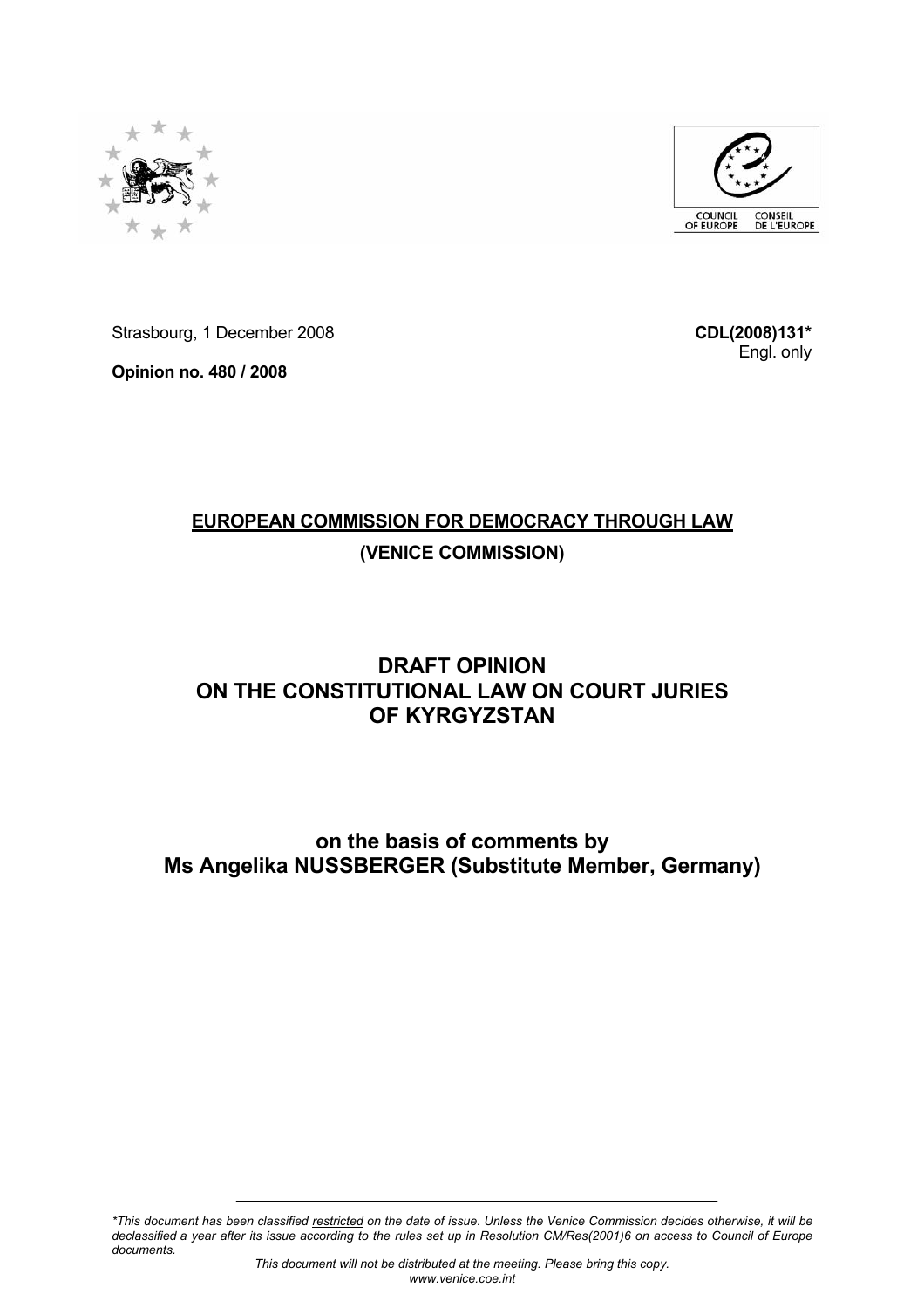



Strasbourg, 1 December 2008

**Opinion no. 480 / 2008** 

**CDL(2008)131\*** Engl. only

# **EUROPEAN COMMISSION FOR DEMOCRACY THROUGH LAW (VENICE COMMISSION)**

# **DRAFT OPINION ON THE CONSTITUTIONAL LAW ON COURT JURIES OF KYRGYZSTAN**

## **on the basis of comments by Ms Angelika NUSSBERGER (Substitute Member, Germany)**

*\*This document has been classified restricted on the date of issue. Unless the Venice Commission decides otherwise, it will be declassified a year after its issue according to the rules set up in Resolution CM/Res(2001)6 on access to Council of Europe documents.*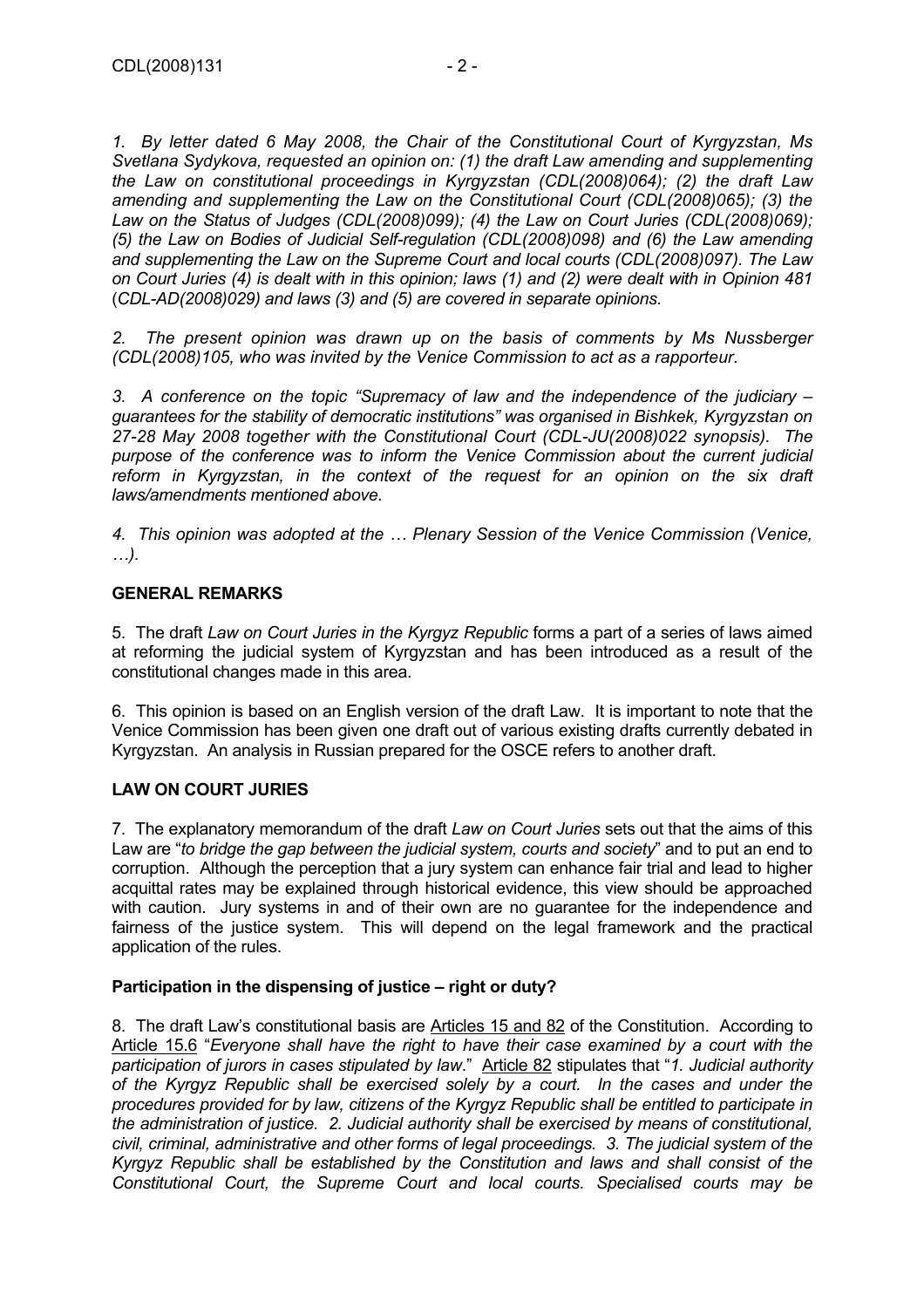*1. By letter dated 6 May 2008, the Chair of the Constitutional Court of Kyrgyzstan, Ms Svetlana Sydykova, requested an opinion on: (1) the draft Law amending and supplementing the Law on constitutional proceedings in Kyrgyzstan (CDL(2008)064); (2) the draft Law amending and supplementing the Law on the Constitutional Court (CDL(2008)065); (3) the Law on the Status of Judges (CDL(2008)099); (4) the Law on Court Juries (CDL(2008)069); (5) the Law on Bodies of Judicial Self-regulation (CDL(2008)098) and (6) the Law amending and supplementing the Law on the Supreme Court and local courts (CDL(2008)097). The Law on Court Juries (4) is dealt with in this opinion; laws (1) and (2) were dealt with in Opinion 481*  (*CDL-AD(2008)029) and laws (3) and (5) are covered in separate opinions.* 

*2. The present opinion was drawn up on the basis of comments by Ms Nussberger (CDL(2008)105, who was invited by the Venice Commission to act as a rapporteur.* 

*3. A conference on the topic "Supremacy of law and the independence of the judiciary – guarantees for the stability of democratic institutions" was organised in Bishkek, Kyrgyzstan on 27-28 May 2008 together with the Constitutional Court (CDL-JU(2008)022 synopsis). The purpose of the conference was to inform the Venice Commission about the current judicial*  reform in Kyrgyzstan, in the context of the request for an opinion on the six draft *laws/amendments mentioned above.* 

*4. This opinion was adopted at the … Plenary Session of the Venice Commission (Venice, …).* 

#### **GENERAL REMARKS**

5. The draft *Law on Court Juries in the Kyrgyz Republic* forms a part of a series of laws aimed at reforming the judicial system of Kyrgyzstan and has been introduced as a result of the constitutional changes made in this area.

6. This opinion is based on an English version of the draft Law. It is important to note that the Venice Commission has been given one draft out of various existing drafts currently debated in Kyrgyzstan. An analysis in Russian prepared for the OSCE refers to another draft.

## **LAW ON COURT JURIES**

7. The explanatory memorandum of the draft *Law on Court Juries* sets out that the aims of this Law are "*to bridge the gap between the judicial system, courts and society*" and to put an end to corruption. Although the perception that a jury system can enhance fair trial and lead to higher acquittal rates may be explained through historical evidence, this view should be approached with caution. Jury systems in and of their own are no guarantee for the independence and fairness of the justice system. This will depend on the legal framework and the practical application of the rules.

## **Participation in the dispensing of justice – right or duty?**

8. The draft Law's constitutional basis are Articles 15 and 82 of the Constitution. According to Article 15.6 "*Everyone shall have the right to have their case examined by a court with the participation of jurors in cases stipulated by law*." Article 82 stipulates that "*1. Judicial authority of the Kyrgyz Republic shall be exercised solely by a court. In the cases and under the procedures provided for by law, citizens of the Kyrgyz Republic shall be entitled to participate in the administration of justice. 2. Judicial authority shall be exercised by means of constitutional, civil, criminal, administrative and other forms of legal proceedings. 3. The judicial system of the Kyrgyz Republic shall be established by the Constitution and laws and shall consist of the Constitutional Court, the Supreme Court and local courts. Specialised courts may be*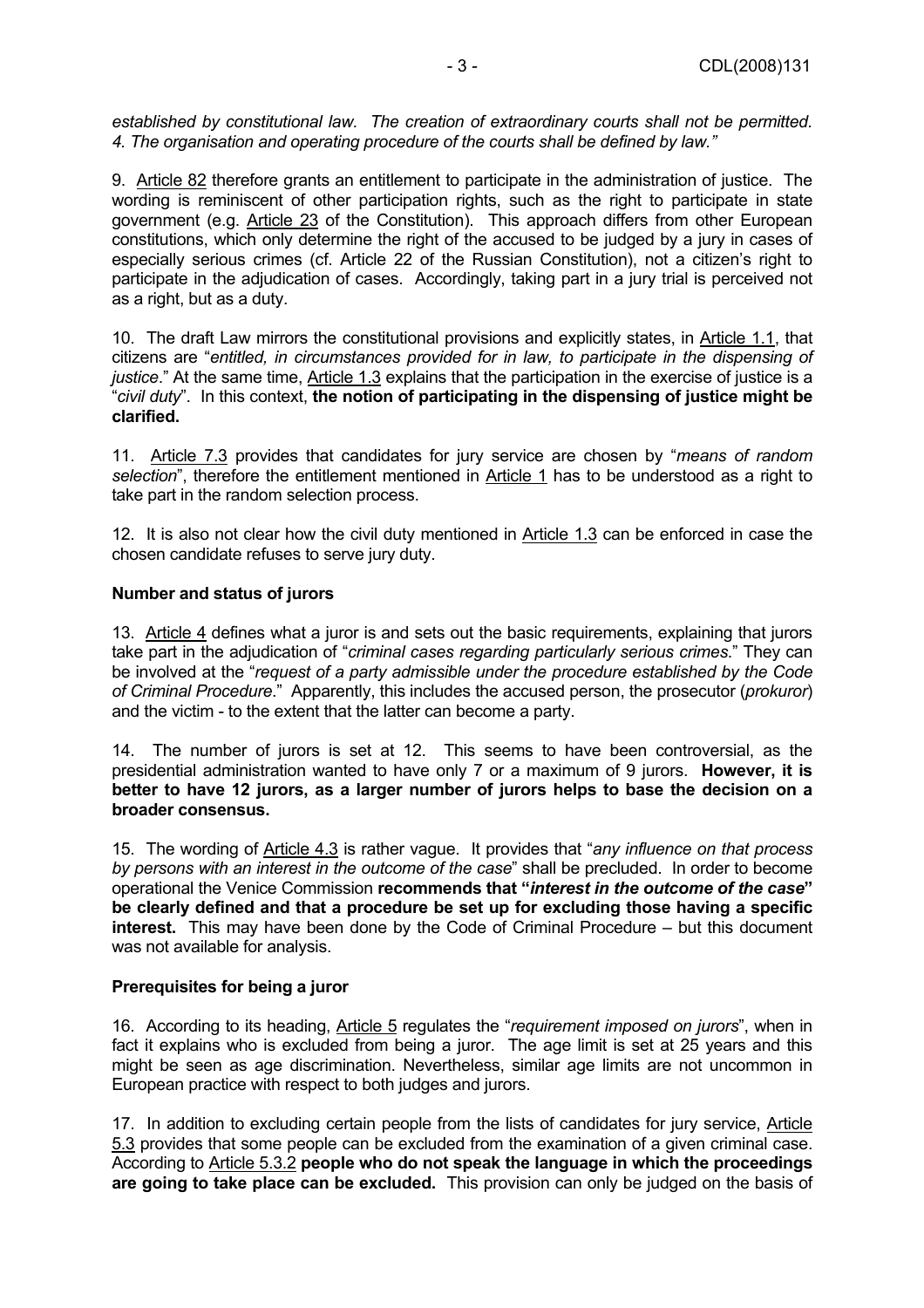*established by constitutional law. The creation of extraordinary courts shall not be permitted. 4. The organisation and operating procedure of the courts shall be defined by law."* 

9. Article 82 therefore grants an entitlement to participate in the administration of justice. The wording is reminiscent of other participation rights, such as the right to participate in state government (e.g. Article 23 of the Constitution). This approach differs from other European constitutions, which only determine the right of the accused to be judged by a jury in cases of especially serious crimes (cf. Article 22 of the Russian Constitution), not a citizen's right to participate in the adjudication of cases. Accordingly, taking part in a jury trial is perceived not as a right, but as a duty.

10. The draft Law mirrors the constitutional provisions and explicitly states, in Article 1.1, that citizens are "*entitled, in circumstances provided for in law, to participate in the dispensing of justice*." At the same time, Article 1.3 explains that the participation in the exercise of justice is a "*civil duty*". In this context, **the notion of participating in the dispensing of justice might be clarified.**

11. Article 7.3 provides that candidates for jury service are chosen by "*means of random selection*", therefore the entitlement mentioned in Article 1 has to be understood as a right to take part in the random selection process.

12. It is also not clear how the civil duty mentioned in Article 1.3 can be enforced in case the chosen candidate refuses to serve jury duty.

#### **Number and status of jurors**

13. Article 4 defines what a juror is and sets out the basic requirements, explaining that jurors take part in the adjudication of "*criminal cases regarding particularly serious crimes*." They can be involved at the "*request of a party admissible under the procedure established by the Code of Criminal Procedure*." Apparently, this includes the accused person, the prosecutor (*prokuror*) and the victim - to the extent that the latter can become a party.

14. The number of jurors is set at 12. This seems to have been controversial, as the presidential administration wanted to have only 7 or a maximum of 9 jurors. **However, it is better to have 12 jurors, as a larger number of jurors helps to base the decision on a broader consensus.**

15. The wording of Article 4.3 is rather vague. It provides that "*any influence on that process by persons with an interest in the outcome of the case*" shall be precluded. In order to become operational the Venice Commission **recommends that "***interest in the outcome of the case***" be clearly defined and that a procedure be set up for excluding those having a specific interest.** This may have been done by the Code of Criminal Procedure – but this document was not available for analysis.

## **Prerequisites for being a juror**

16. According to its heading, Article 5 regulates the "*requirement imposed on jurors*", when in fact it explains who is excluded from being a juror. The age limit is set at 25 years and this might be seen as age discrimination. Nevertheless, similar age limits are not uncommon in European practice with respect to both judges and jurors.

17. In addition to excluding certain people from the lists of candidates for jury service, Article 5.3 provides that some people can be excluded from the examination of a given criminal case. According to Article 5.3.2 **people who do not speak the language in which the proceedings are going to take place can be excluded.** This provision can only be judged on the basis of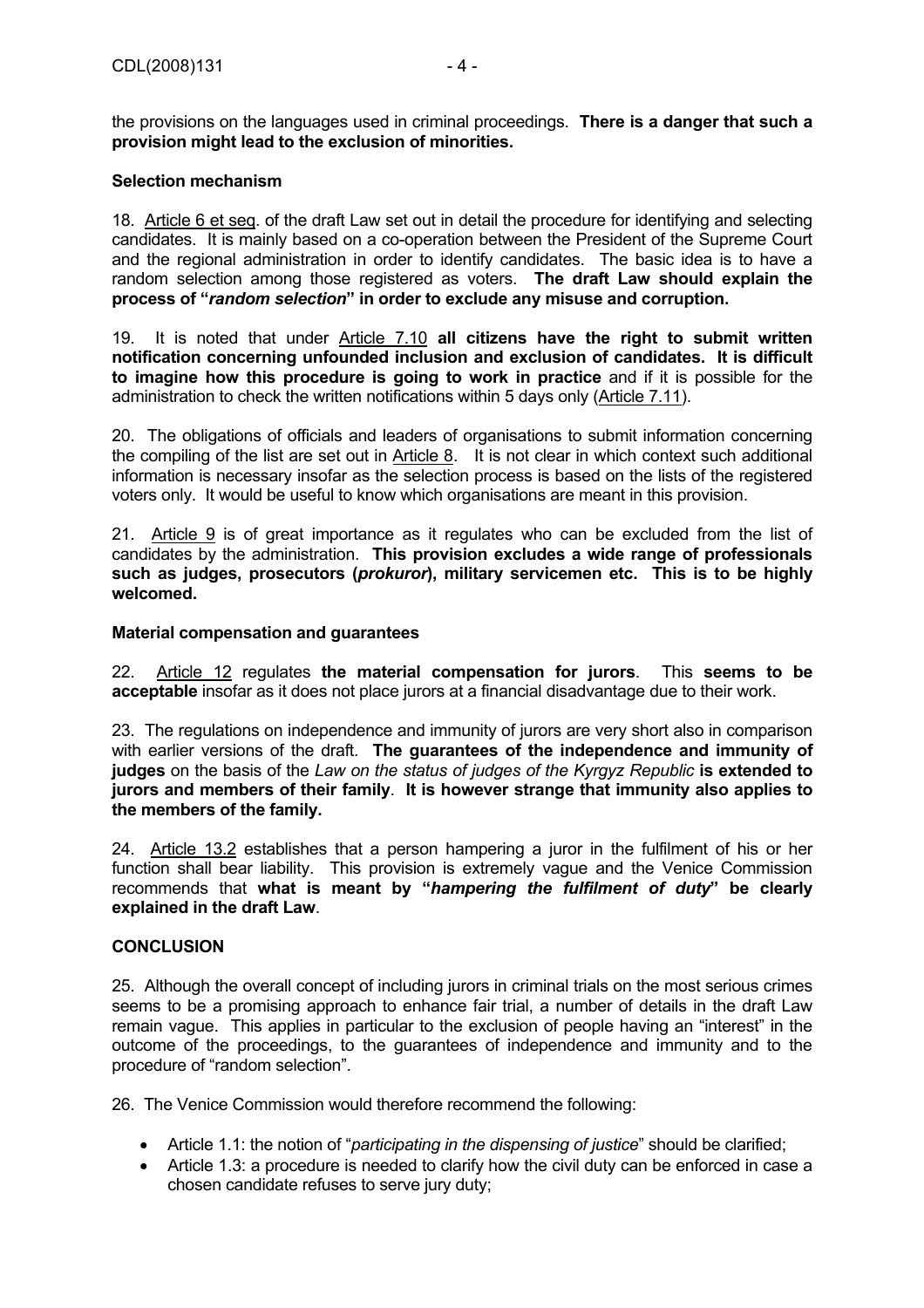the provisions on the languages used in criminal proceedings. **There is a danger that such a provision might lead to the exclusion of minorities.** 

#### **Selection mechanism**

18. Article 6 et seq. of the draft Law set out in detail the procedure for identifying and selecting candidates. It is mainly based on a co-operation between the President of the Supreme Court and the regional administration in order to identify candidates. The basic idea is to have a random selection among those registered as voters. **The draft Law should explain the process of "***random selection***" in order to exclude any misuse and corruption.**

19. It is noted that under Article 7.10 **all citizens have the right to submit written notification concerning unfounded inclusion and exclusion of candidates. It is difficult to imagine how this procedure is going to work in practice** and if it is possible for the administration to check the written notifications within 5 days only (Article 7.11).

20. The obligations of officials and leaders of organisations to submit information concerning the compiling of the list are set out in Article 8. It is not clear in which context such additional information is necessary insofar as the selection process is based on the lists of the registered voters only. It would be useful to know which organisations are meant in this provision.

21. Article 9 is of great importance as it regulates who can be excluded from the list of candidates by the administration. **This provision excludes a wide range of professionals such as judges, prosecutors (***prokuror***), military servicemen etc. This is to be highly welcomed.**

#### **Material compensation and guarantees**

22. Article 12 regulates **the material compensation for jurors**. This **seems to be acceptable** insofar as it does not place jurors at a financial disadvantage due to their work.

23. The regulations on independence and immunity of jurors are very short also in comparison with earlier versions of the draft. **The guarantees of the independence and immunity of judges** on the basis of the *Law on the status of judges of the Kyrgyz Republic* **is extended to jurors and members of their family**. **It is however strange that immunity also applies to the members of the family.** 

24. Article 13.2 establishes that a person hampering a juror in the fulfilment of his or her function shall bear liability. This provision is extremely vague and the Venice Commission recommends that **what is meant by "***hampering the fulfilment of duty***" be clearly explained in the draft Law**.

#### **CONCLUSION**

25. Although the overall concept of including jurors in criminal trials on the most serious crimes seems to be a promising approach to enhance fair trial, a number of details in the draft Law remain vague. This applies in particular to the exclusion of people having an "interest" in the outcome of the proceedings, to the guarantees of independence and immunity and to the procedure of "random selection".

26. The Venice Commission would therefore recommend the following:

- Article 1.1: the notion of "*participating in the dispensing of justice*" should be clarified;
- Article 1.3: a procedure is needed to clarify how the civil duty can be enforced in case a chosen candidate refuses to serve jury duty;